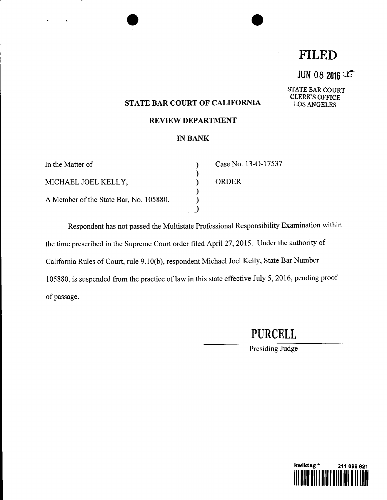# **FILED**

 $JUN 08 2016$ 

STATE BAR COURT CLERK'S OFFICE LOS ANGELES

### **STATE BAR COURT OF CALIFORNIA**

#### **REVIEW DEPARTMENT**

### **IN BANK**

 $\mathcal{E}$ ⟩  $\mathcal{E}$  $\mathcal{E}$ 

| In the Matter of                       |  |
|----------------------------------------|--|
| MICHAEL JOEL KELLY,                    |  |
| A Member of the State Bar, No. 105880. |  |

Case No. 13-O-17537

ORDER

Respondent has not passed the Multistate Professional Responsibility Examination within the time prescribed in the Supreme Court order filed April 27, 2015. Under the authority of California Rules of Court, rule 9.10(b), respondent Michael Joel Kelly, State Bar Number 105880, is suspended from the practice of law in this state effective July 5, 2016, pending proof of passage.

**PURCELL**

Presiding Judge